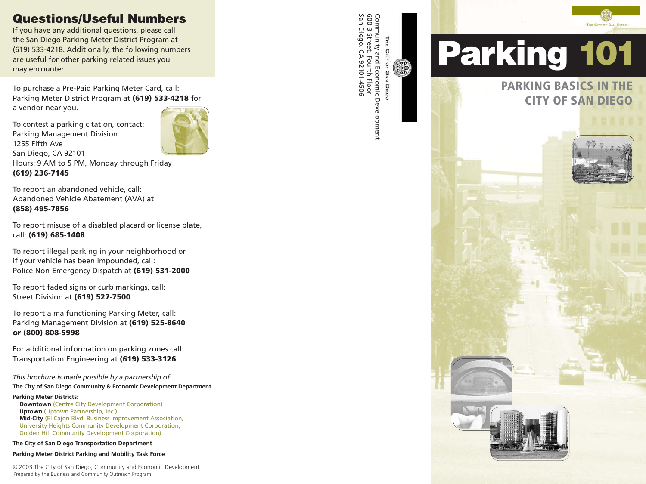# **Questions/Useful Numbers**

If you have any additional questions, please call the San Diego Parking Meter District Program at (619) 533-4218. Additionally, the following numbers are useful for other parking related issues you may encounter:

To purchase a Pre-Paid Parking Meter Card, call: Parking Meter District Program at **(619) 533-4218** for a vendor near you.

To contest a parking citation, contact: Parking Management Division 1255 Fifth Ave San Diego, CA 92101 Hours: 9 AM to 5 PM, Monday through Friday **(619) 236-7145** 

To report an abandoned vehicle, call: Abandoned Vehicle Abatement (AVA) at **(858) 495-7856** 

To report misuse of a disabled placard or license plate, call: **(619) 685-1408** 

To report illegal parking in your neighborhood or if your vehicle has been impounded, call: Police Non-Emergency Dispatch at **(619) 531-2000** 

To report faded signs or curb markings, call: Street Division at **(619) 527-7500** 

To report a malfunctioning Parking Meter, call: Parking Management Division at **(619) 525-8640 or (800) 808-5998** 

For additional information on parking zones call: Transportation Engineering at **(619) 533-3126** 

*This brochure is made possible by a partnership of:*  **The City of San Diego Community & Economic Development Department** 

**Parking Meter Districts:** 

**Downtown** (Centre City Development Corporation) **Uptown** (Uptown Partnership, Inc.) **Mid-City** (El Cajon Blvd. Business Improvement Association, University Heights Community Development Corporation, Golden Hill Community Development Corporation)

**The City of San Diego Transportation Department** 

**Parking Meter District Parking and Mobility Task Force** 

© 2003 The City of San Diego, Community and Economic Development Prepared by the Business and Community Outreach Program

Community and Economic Development<br>600 B Street, Fourth Floor<br>San Diego, CA 92101-4506 San Diego, CA 92101-4506 600 B Street, Fourth Floor Community and Economic DevelopmentTHE CITY  $\frac{0}{1}$ SAN **DIEGO** 

 $\frac{m}{2}$ 

# **Parking 101**

**PARKING BASICS IN THE CITY OF SAN DIEGO**



THE CITY OF SAN DIEGO

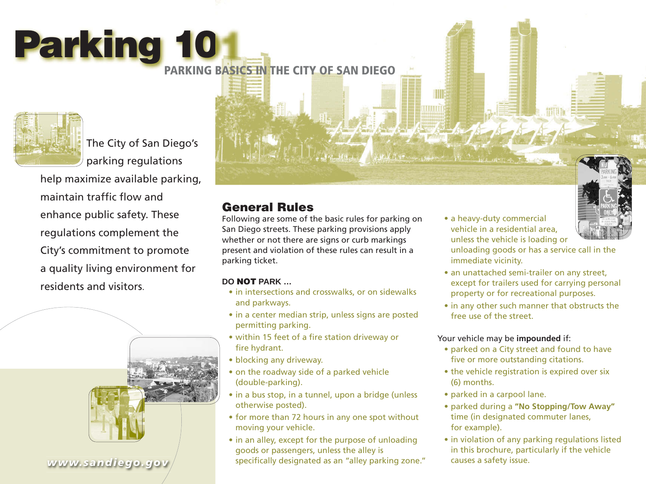# **Parking 10**

**PARKING BASICS IN THE CITY OF SAN DIEGO** 



The City of San Diego's parking regulations

help maximize available parking, maintain traffic flow and enhance public safety. These regulations complement the City's commitment to promote a quality living environment for residents and visitors.



*www.sandiego.gov*

# **General Rules**

Following are some of the basic rules for parking on San Diego streets. These parking provisions apply whether or not there are signs or curb markings present and violation of these rules can result in a parking ticket.

#### **DO NOT PARK …**

- in intersections and crosswalks, or on sidewalks and parkways.
- in a center median strip, unless signs are posted permitting parking.
- within 15 feet of a fire station driveway or fire hydrant.
- blocking any driveway.
- on the roadway side of a parked vehicle (double-parking).
- in a bus stop, in a tunnel, upon a bridge (unless otherwise posted).
- for more than 72 hours in any one spot without moving your vehicle.
- in an alley, except for the purpose of unloading goods or passengers, unless the alley is specifically designated as an "alley parking zone."

• a heavy-duty commercial vehicle in a residential area, unless the vehicle is loading or

wwm



- unloading goods or has a service call in the immediate vicinity. • an unattached semi-trailer on any street,
- except for trailers used for carrying personal property or for recreational purposes.
- in any other such manner that obstructs the free use of the street.

#### Your vehicle may be **impounded** if:

- parked on a City street and found to have five or more outstanding citations.
- the vehicle registration is expired over six (6) months.
- parked in a carpool lane.
- parked during a **"No Stopping/Tow Away"**  time (in designated commuter lanes, for example).
- in violation of any parking regulations listed in this brochure, particularly if the vehicle causes a safety issue.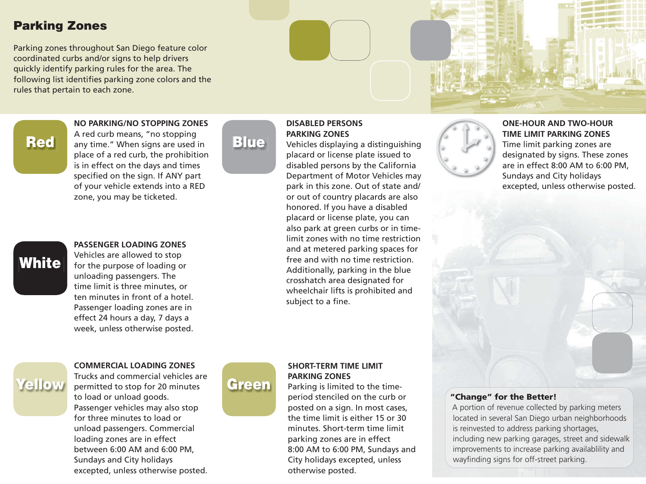# **Parking Zones**

Parking zones throughout San Diego feature color coordinated curbs and/or signs to help drivers quickly identify parking rules for the area. The following list identifies parking zone colors and the rules that pertain to each zone.



**NO PARKING/NO STOPPING ZONES** A red curb means, "no stopping

any time." When signs are used in place of a red curb, the prohibition is in effect on the days and times specified on the sign. If ANY part of your vehicle extends into a RED zone, you may be ticketed.



## **PASSENGER LOADING ZONES**

Vehicles are allowed to stop for the purpose of loading or unloading passengers. The time limit is three minutes, or ten minutes in front of a hotel. Passenger loading zones are in effect 24 hours a day, 7 days a week, unless otherwise posted.

# **Blue**

#### **DISABLED PERSONS PARKING ZONES**

Vehicles displaying a distinguishing placard or license plate issued to disabled persons by the California Department of Motor Vehicles may park in this zone. Out of state and/ or out of country placards are also honored. If you have a disabled placard or license plate, you can also park at green curbs or in timelimit zones with no time restriction and at metered parking spaces for free and with no time restriction. Additionally, parking in the blue crosshatch area designated for wheelchair lifts is prohibited and subject to a fine.



#### **COMMERCIAL LOADING ZONES**

Trucks and commercial vehicles are permitted to stop for 20 minutes to load or unload goods. Passenger vehicles may also stop for three minutes to load or unload passengers. Commercial loading zones are in effect between 6:00 AM and 6:00 PM, Sundays and City holidays excepted, unless otherwise posted.



#### **SHORT-TERM TIME LIMIT PARKING ZONES**

Parking is limited to the timeperiod stenciled on the curb or posted on a sign. In most cases, the time limit is either 15 or 30 minutes. Short-term time limit parking zones are in effect 8:00 AM to 6:00 PM, Sundays and City holidays excepted, unless otherwise posted.



#### **ONE-HOUR AND TWO-HOUR TIME LIMIT PARKING ZONES**

Time limit parking zones are designated by signs. These zones are in effect 8:00 AM to 6:00 PM, Sundays and City holidays excepted, unless otherwise posted.

#### **"Change" for the Better!**

A portion of revenue collected by parking meters located in several San Diego urban neighborhoods is reinvested to address parking shortages, including new parking garages, street and sidewalk improvements to increase parking availablility and wayfinding signs for off-street parking.